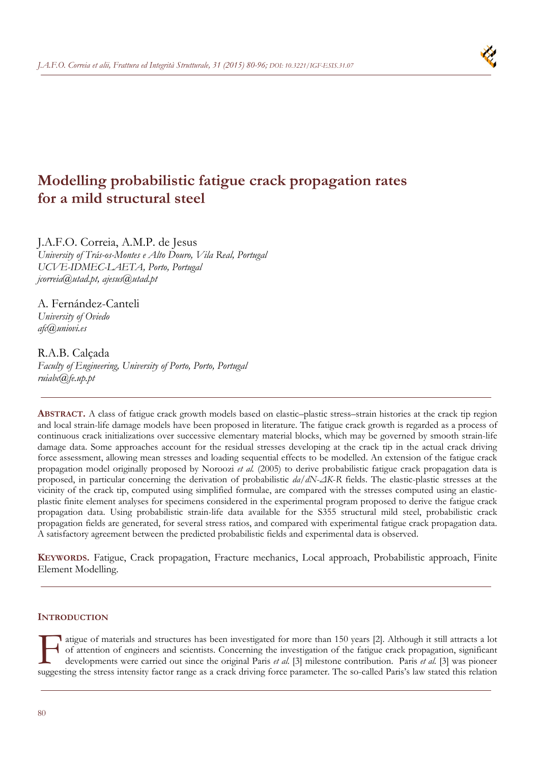# **Modelling probabilistic fatigue crack propagation rates for a mild structural steel**

J.A.F.O. Correia, A.M.P. de Jesus *University of Trás-os-Montes e Alto Douro, Vila Real, Portugal UCVE-IDMEC-LAETA, Porto, Portugal jcorreia@utad.pt, ajesus@utad.pt* 

A. Fernández-Canteli *University of Oviedo afc@uniovi.es* 

# R.A.B. Calçada

*Faculty of Engineering, University of Porto, Porto, Portugal ruiabc@fe.up.pt* 

**ABSTRACT.** A class of fatigue crack growth models based on elastic–plastic stress–strain histories at the crack tip region and local strain-life damage models have been proposed in literature. The fatigue crack growth is regarded as a process of continuous crack initializations over successive elementary material blocks, which may be governed by smooth strain-life damage data. Some approaches account for the residual stresses developing at the crack tip in the actual crack driving force assessment, allowing mean stresses and loading sequential effects to be modelled. An extension of the fatigue crack propagation model originally proposed by Noroozi *et al.* (2005) to derive probabilistic fatigue crack propagation data is proposed, in particular concerning the derivation of probabilistic *da*/*dN*-*ΔK*-*R* fields. The elastic-plastic stresses at the vicinity of the crack tip, computed using simplified formulae, are compared with the stresses computed using an elasticplastic finite element analyses for specimens considered in the experimental program proposed to derive the fatigue crack propagation data. Using probabilistic strain-life data available for the S355 structural mild steel, probabilistic crack propagation fields are generated, for several stress ratios, and compared with experimental fatigue crack propagation data. A satisfactory agreement between the predicted probabilistic fields and experimental data is observed.

**KEYWORDS.** Fatigue, Crack propagation, Fracture mechanics, Local approach, Probabilistic approach, Finite Element Modelling.

# **INTRODUCTION**

digue of materials and structures has been investigated for more than 150 years [2]. Although it still attracts a lot of attention of engineers and scientists. Concerning the investigation of the fatigue crack propagation, significant developments were carried out since the original Paris *et al.* [3] milestone contribution. Paris *et al.* [3] was pioneer Supposed the stress intensity factor range as a crack driving force parameter. The so-called Paris' suggesting the stress intensity factor range as a crack driving force parameter. The so-called Paris's law stated this relation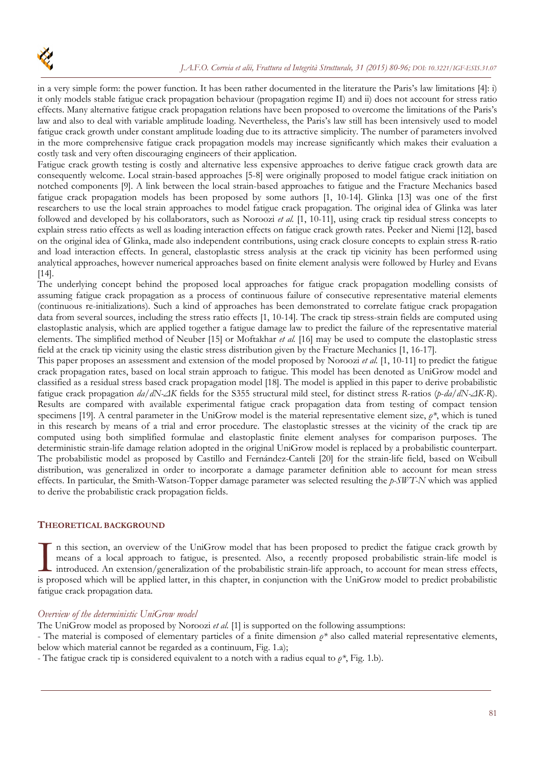

in a very simple form: the power function. It has been rather documented in the literature the Paris's law limitations [4]: i) it only models stable fatigue crack propagation behaviour (propagation regime II) and ii) does not account for stress ratio effects. Many alternative fatigue crack propagation relations have been proposed to overcome the limitations of the Paris's law and also to deal with variable amplitude loading. Nevertheless, the Paris's law still has been intensively used to model fatigue crack growth under constant amplitude loading due to its attractive simplicity. The number of parameters involved in the more comprehensive fatigue crack propagation models may increase significantly which makes their evaluation a costly task and very often discouraging engineers of their application.

Fatigue crack growth testing is costly and alternative less expensive approaches to derive fatigue crack growth data are consequently welcome. Local strain-based approaches [5-8] were originally proposed to model fatigue crack initiation on notched components [9]. A link between the local strain-based approaches to fatigue and the Fracture Mechanics based fatigue crack propagation models has been proposed by some authors [1, 10-14]. Glinka [13] was one of the first researchers to use the local strain approaches to model fatigue crack propagation. The original idea of Glinka was later followed and developed by his collaborators, such as Noroozi *et al.* [1, 10-11], using crack tip residual stress concepts to explain stress ratio effects as well as loading interaction effects on fatigue crack growth rates. Peeker and Niemi [12], based on the original idea of Glinka, made also independent contributions, using crack closure concepts to explain stress R-ratio and load interaction effects. In general, elastoplastic stress analysis at the crack tip vicinity has been performed using analytical approaches, however numerical approaches based on finite element analysis were followed by Hurley and Evans [14].

The underlying concept behind the proposed local approaches for fatigue crack propagation modelling consists of assuming fatigue crack propagation as a process of continuous failure of consecutive representative material elements (continuous re-initializations). Such a kind of approaches has been demonstrated to correlate fatigue crack propagation data from several sources, including the stress ratio effects [1, 10-14]. The crack tip stress-strain fields are computed using elastoplastic analysis, which are applied together a fatigue damage law to predict the failure of the representative material elements. The simplified method of Neuber [15] or Moftakhar *et al.* [16] may be used to compute the elastoplastic stress field at the crack tip vicinity using the elastic stress distribution given by the Fracture Mechanics [1, 16-17].

This paper proposes an assessment and extension of the model proposed by Noroozi *et al.* [1, 10-11] to predict the fatigue crack propagation rates, based on local strain approach to fatigue. This model has been denoted as UniGrow model and classified as a residual stress based crack propagation model [18]. The model is applied in this paper to derive probabilistic fatigue crack propagation *da/dN-ΔK* fields for the S355 structural mild steel, for distinct stress *R*-ratios (*p*-*da/dN-ΔK-R*). Results are compared with available experimental fatigue crack propagation data from testing of compact tension specimens [19]. A central parameter in the UniGrow model is the material representative element size, *ρ\**, which is tuned in this research by means of a trial and error procedure. The elastoplastic stresses at the vicinity of the crack tip are computed using both simplified formulae and elastoplastic finite element analyses for comparison purposes. The deterministic strain-life damage relation adopted in the original UniGrow model is replaced by a probabilistic counterpart. The probabilistic model as proposed by Castillo and Fernández-Canteli [20] for the strain-life field, based on Weibull distribution, was generalized in order to incorporate a damage parameter definition able to account for mean stress effects. In particular, the Smith-Watson-Topper damage parameter was selected resulting the *p-SWT-N* which was applied to derive the probabilistic crack propagation fields.

# **THEORETICAL BACKGROUND**

n this section, an overview of the UniGrow model that has been proposed to predict the fatigue crack growth by means of a local approach to fatigue, is presented. Also, a recently proposed probabilistic strain-life model is introduced. An extension/generalization of the probabilistic strain-life approach, to account for mean stress effects, In this section, an overview of the UniGrow model that has been proposed to predict the fatigue crack growth by<br>means of a local approach to fatigue, is presented. Also, a recently proposed probabilistic strain-life model fatigue crack propagation data.

# *Overview of the deterministic UniGrow model*

The UniGrow model as proposed by Noroozi *et al.* [1] is supported on the following assumptions:

- The material is composed of elementary particles of a finite dimension *ρ\** also called material representative elements, below which material cannot be regarded as a continuum, Fig. 1.a);

- The fatigue crack tip is considered equivalent to a notch with a radius equal to *ρ\**, Fig. 1.b).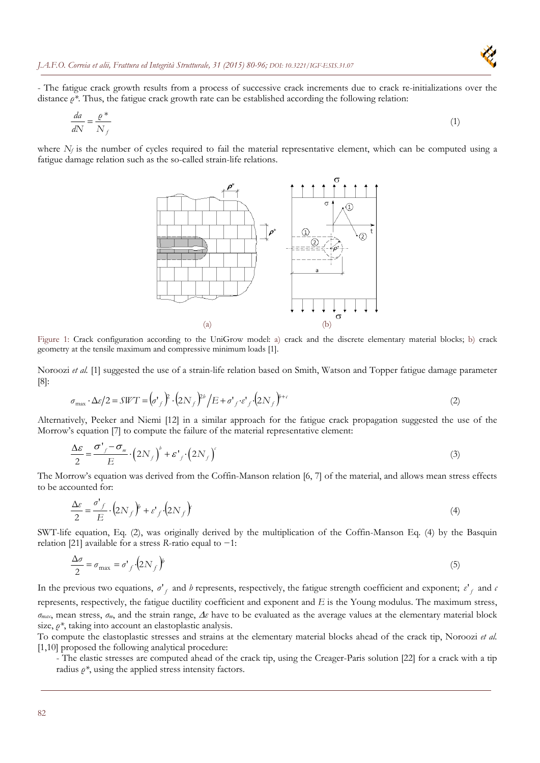

- The fatigue crack growth results from a process of successive crack increments due to crack re-initializations over the distance *ρ\**. Thus, the fatigue crack growth rate can be established according the following relation:

$$
\frac{da}{dN} = \frac{\varrho^*}{N_f} \tag{1}
$$

where  $N_f$  is the number of cycles required to fail the material representative element, which can be computed using a fatigue damage relation such as the so-called strain-life relations.



Figure 1: Crack configuration according to the UniGrow model: a) crack and the discrete elementary material blocks; b) crack geometry at the tensile maximum and compressive minimum loads [1].

Noroozi *et al.* [1] suggested the use of a strain-life relation based on Smith, Watson and Topper fatigue damage parameter [8]:

$$
\sigma_{\text{max}} \cdot \Delta \varepsilon / 2 = SWT = \left(\sigma'_{f}\right)^{2} \cdot \left(2N_{f}\right)^{2} / E + \sigma'_{f} \cdot \varepsilon'_{f} \cdot \left(2N_{f}\right)^{2} + \cdots
$$
\n(2)

Alternatively, Peeker and Niemi [12] in a similar approach for the fatigue crack propagation suggested the use of the Morrow's equation [7] to compute the failure of the material representative element:

$$
\frac{\Delta \varepsilon}{2} = \frac{\sigma'_{f} - \sigma_{m}}{E} \cdot (2N_{f})^{b} + \varepsilon'_{f} \cdot (2N_{f})^{c}
$$
\n(3)

The Morrow's equation was derived from the Coffin-Manson relation [6, 7] of the material, and allows mean stress effects to be accounted for:

$$
\frac{\Delta \varepsilon}{2} = \frac{\sigma'_{f}}{E} \cdot (2N_{f})^{\nu} + \varepsilon'_{f} \cdot (2N_{f})^{\nu}
$$
\n(4)

SWT-life equation, Eq. (2), was originally derived by the multiplication of the Coffin-Manson Eq. (4) by the Basquin relation [21] available for a stress *R*-ratio equal to −1:

$$
\frac{\Delta \sigma}{2} = \sigma_{\text{max}} = \sigma'_{f} \left( 2N_{f} \right)^{\nu} \tag{5}
$$

In the previous two equations,  $\sigma'_{f}$  and *b* represents, respectively, the fatigue strength coefficient and exponent;  $\varepsilon'_{f}$  and  $\varepsilon$ represents, respectively, the fatigue ductility coefficient and exponent and *E* is the Young modulus. The maximum stress, *σmax*, mean stress, *σm*, and the strain range, *ε* have to be evaluated as the average values at the elementary material block size, *ρ\**, taking into account an elastoplastic analysis.

To compute the elastoplastic stresses and strains at the elementary material blocks ahead of the crack tip, Noroozi *et al.* [1,10] proposed the following analytical procedure:

- The elastic stresses are computed ahead of the crack tip, using the Creager-Paris solution [22] for a crack with a tip radius  $\rho^*$ , using the applied stress intensity factors.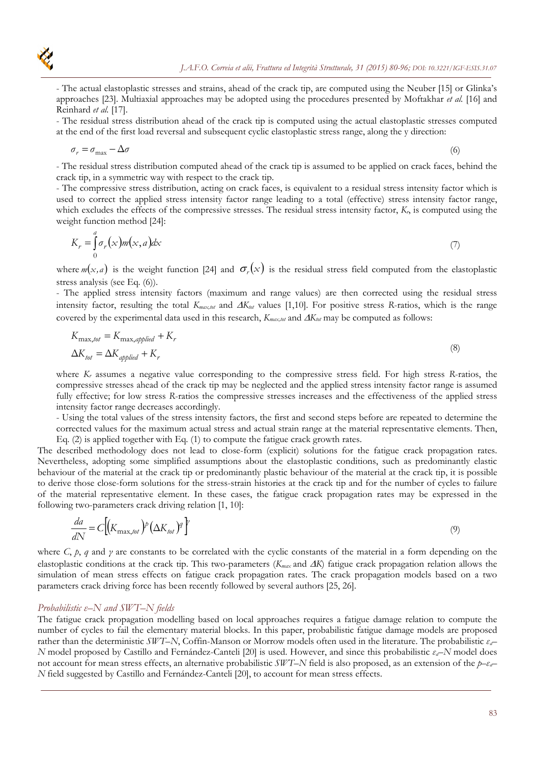- The actual elastoplastic stresses and strains, ahead of the crack tip, are computed using the Neuber [15] or Glinka's approaches [23]. Multiaxial approaches may be adopted using the procedures presented by Moftakhar *et al.* [16] and Reinhard *et al.* [17].

- The residual stress distribution ahead of the crack tip is computed using the actual elastoplastic stresses computed at the end of the first load reversal and subsequent cyclic elastoplastic stress range, along the y direction:

$$
\sigma_r = \sigma_{\text{max}} - \Delta \sigma \tag{6}
$$

- The residual stress distribution computed ahead of the crack tip is assumed to be applied on crack faces, behind the crack tip, in a symmetric way with respect to the crack tip.

- The compressive stress distribution, acting on crack faces, is equivalent to a residual stress intensity factor which is used to correct the applied stress intensity factor range leading to a total (effective) stress intensity factor range, which excludes the effects of the compressive stresses. The residual stress intensity factor,  $K<sub>r</sub>$ , is computed using the weight function method [24]:

$$
K_r = \int_0^a \sigma_r(x) m(x, a) dx \tag{7}
$$

where  $m(x, a)$  is the weight function [24] and  $\sigma_r(x)$  is the residual stress field computed from the elastoplastic stress analysis (see Eq. (6)).

- The applied stress intensity factors (maximum and range values) are then corrected using the residual stress intensity factor, resulting the total  $K_{max,tot}$  and  $\Delta K_{tot}$  values [1,10]. For positive stress *R*-ratios, which is the range covered by the experimental data used in this research,  $K_{max, tot}$  and  $\Delta K_{tot}$  may be computed as follows:

$$
K_{\text{max, tot}} = K_{\text{max, applied}} + K_r
$$
  
\n
$$
\Delta K_{\text{tot}} = \Delta K_{\text{applied}} + K_r
$$
\n(8)

where *K<sub>r</sub>* assumes a negative value corresponding to the compressive stress field. For high stress *R*-ratios, the compressive stresses ahead of the crack tip may be neglected and the applied stress intensity factor range is assumed fully effective; for low stress *R*-ratios the compressive stresses increases and the effectiveness of the applied stress intensity factor range decreases accordingly.

- Using the total values of the stress intensity factors, the first and second steps before are repeated to determine the corrected values for the maximum actual stress and actual strain range at the material representative elements. Then, Eq. (2) is applied together with Eq. (1) to compute the fatigue crack growth rates.

The described methodology does not lead to close-form (explicit) solutions for the fatigue crack propagation rates. Nevertheless, adopting some simplified assumptions about the elastoplastic conditions, such as predominantly elastic behaviour of the material at the crack tip or predominantly plastic behaviour of the material at the crack tip, it is possible to derive those close-form solutions for the stress-strain histories at the crack tip and for the number of cycles to failure of the material representative element. In these cases, the fatigue crack propagation rates may be expressed in the following two-parameters crack driving relation [1, 10]:

$$
\frac{da}{dN} = C\Big[\big(K_{\text{max},tot}\big)^p \big(\Delta K_{tot}\big)^q\Big]^q
$$
\n(9)

where *C*, *p*, *q* and *γ* are constants to be correlated with the cyclic constants of the material in a form depending on the elastoplastic conditions at the crack tip. This two-parameters (*K<sub>max</sub>* and *AK*) fatigue crack propagation relation allows the simulation of mean stress effects on fatigue crack propagation rates. The crack propagation models based on a two parameters crack driving force has been recently followed by several authors [25, 26].

# *Probabilistic ε–N and SWT–N fields*

The fatigue crack propagation modelling based on local approaches requires a fatigue damage relation to compute the number of cycles to fail the elementary material blocks. In this paper, probabilistic fatigue damage models are proposed rather than the deterministic *SWT–N*, Coffin-Manson or Morrow models often used in the literature. The probabilistic *εa– N* model proposed by Castillo and Fernández-Canteli [20] is used. However, and since this probabilistic *εa–N* model does not account for mean stress effects, an alternative probabilistic *SWT–N* field is also proposed, as an extension of the *p–εa– N* field suggested by Castillo and Fernández-Canteli [20], to account for mean stress effects.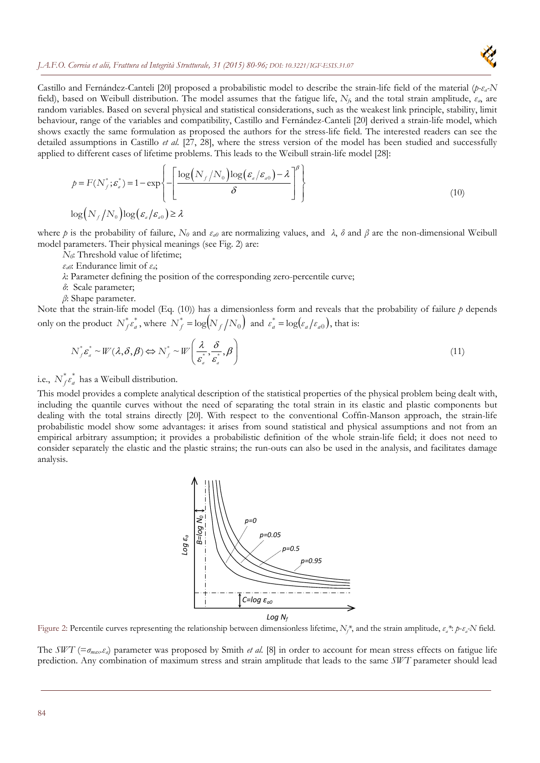

Castillo and Fernández-Canteli [20] proposed a probabilistic model to describe the strain-life field of the material (*p-εa-N*  field), based on Weibull distribution. The model assumes that the fatigue life, *Nf*, and the total strain amplitude, *εa*, are random variables. Based on several physical and statistical considerations, such as the weakest link principle, stability, limit behaviour, range of the variables and compatibility, Castillo and Fernández-Canteli [20] derived a strain-life model, which shows exactly the same formulation as proposed the authors for the stress-life field. The interested readers can see the detailed assumptions in Castillo *et al.* [27, 28], where the stress version of the model has been studied and successfully applied to different cases of lifetime problems. This leads to the Weibull strain-life model [28]:

$$
p = F(N_f^*; \varepsilon_a^*) = 1 - \exp\left\{-\left[\frac{\log(N_f/N_0)\log(\varepsilon_a/\varepsilon_{a0}) - \lambda}{\delta}\right]^\beta\right\}
$$
  

$$
\log(N_f/N_0)\log(\varepsilon_a/\varepsilon_{a0}) \ge \lambda
$$
 (10)

where *p* is the probability of failure,  $N_0$  and  $\varepsilon_{a0}$  are normalizing values, and  $\lambda$ ,  $\delta$  and  $\beta$  are the non-dimensional Weibull model parameters. Their physical meanings (see Fig. 2) are:

- *N<sub>0</sub>*: Threshold value of lifetime;
- *εa0*: Endurance limit of *εa*;
- *λ*: Parameter defining the position of the corresponding zero-percentile curve;
- *δ*: Scale parameter;
- *β*: Shape parameter.

Note that the strain-life model (Eq. (10)) has a dimensionless form and reveals that the probability of failure *p* depends only on the product  $N_f^* \varepsilon_a^*$ , where  $N_f^* = \log(N_f/N_0)$  and  $\varepsilon_a^* = \log(\varepsilon_a/\varepsilon_{a0})$ , that is:

$$
N_f^* \varepsilon_a^* \sim W(\lambda, \delta, \beta) \Leftrightarrow N_f^* \sim W\left(\frac{\lambda}{\varepsilon_a^*, \varepsilon_a^*, \beta}\right)
$$
\n(11)

i.e.,  $N_f^* \varepsilon_a^*$  has a Weibull distribution.

This model provides a complete analytical description of the statistical properties of the physical problem being dealt with, including the quantile curves without the need of separating the total strain in its elastic and plastic components but dealing with the total strains directly [20]. With respect to the conventional Coffin-Manson approach, the strain-life probabilistic model show some advantages: it arises from sound statistical and physical assumptions and not from an empirical arbitrary assumption; it provides a probabilistic definition of the whole strain-life field; it does not need to consider separately the elastic and the plastic strains; the run-outs can also be used in the analysis, and facilitates damage analysis.



Figure 2: Percentile curves representing the relationship between dimensionless lifetime, *Nf \**, and the strain amplitude, *εa\**: *p*-*εa-N* field.

The *SWT* ( $=\sigma_{max}$ , $\varepsilon_a$ ) parameter was proposed by Smith *et al.* [8] in order to account for mean stress effects on fatigue life prediction. Any combination of maximum stress and strain amplitude that leads to the same *SWT* parameter should lead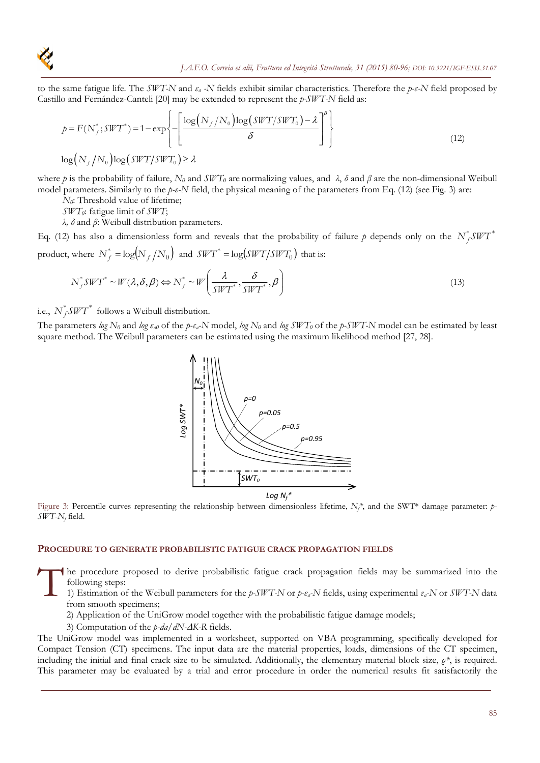

to the same fatigue life. The *SWT-N* and *εa -N* fields exhibit similar characteristics. Therefore the *p-ε-N* field proposed by Castillo and Fernández-Canteli [20] may be extended to represent the *p-SWT-N* field as:

$$
p = F(N_f^*; SWT^*) = 1 - \exp\left\{-\left[\frac{\log(N_f/N_0)\log(SWT/SWT_0) - \lambda}{\delta}\right]^\beta\right\}
$$
  

$$
\log(N_f/N_0)\log(SWT/SWT_0) \ge \lambda
$$
 (12)

where *p* is the probability of failure, *N0* and *SWT0* are normalizing values, and *λ*, *δ* and *β* are the non-dimensional Weibull model parameters. Similarly to the *p-ε-N* field, the physical meaning of the parameters from Eq. (12) (see Fig. 3) are:

*N<sub>0</sub>*: Threshold value of lifetime;

*SWT0*: fatigue limit of *SWT*;

*λ, δ* and *β*: Weibull distribution parameters.

Eq. (12) has also a dimensionless form and reveals that the probability of failure p depends only on the  $N_f^* SWT^*$ product, where  $N_f^* = \log(N_f/N_0)$  and  $SWT^* = \log(SWT/SWT_0)$  that is:

$$
N_f^* SWT^* \sim W(\lambda, \delta, \beta) \Leftrightarrow N_f^* \sim W\left(\frac{\lambda}{SWT^*}, \frac{\delta}{SWT^*}, \beta\right)
$$
\n(13)

i.e.,  $N_f^* SWT^*$  follows a Weibull distribution.

The parameters *log N0* and *log εa0* of the *p-εa-N* model, *log N0* and *log SWT0* of the *p-SWT-N* model can be estimated by least square method. The Weibull parameters can be estimated using the maximum likelihood method [27, 28].



*Log Nf\**

Figure 3: Percentile curves representing the relationship between dimensionless lifetime,  $N_f^*$ , and the SWT\* damage parameter: p-*SWT*-*Nf* field.

# **PROCEDURE TO GENERATE PROBABILISTIC FATIGUE CRACK PROPAGATION FIELDS**

he procedure proposed to derive probabilistic fatigue crack propagation fields may be summarized into the following steps:  $\prod_{\substack{f_0 \text{for } f_1 \text{ for } f_2 \text{ for } f_1}}$ 

1) Estimation of the Weibull parameters for the *p-SWT-N* or *p-εa-N* fields, using experimental *εa-N* or *SWT-N* data from smooth specimens;

2) Application of the UniGrow model together with the probabilistic fatigue damage models;

3) Computation of the *p-da/dN-K-R* fields.

The UniGrow model was implemented in a worksheet, supported on VBA programming, specifically developed for Compact Tension (CT) specimens. The input data are the material properties, loads, dimensions of the CT specimen, including the initial and final crack size to be simulated. Additionally, the elementary material block size, *ρ\**, is required. This parameter may be evaluated by a trial and error procedure in order the numerical results fit satisfactorily the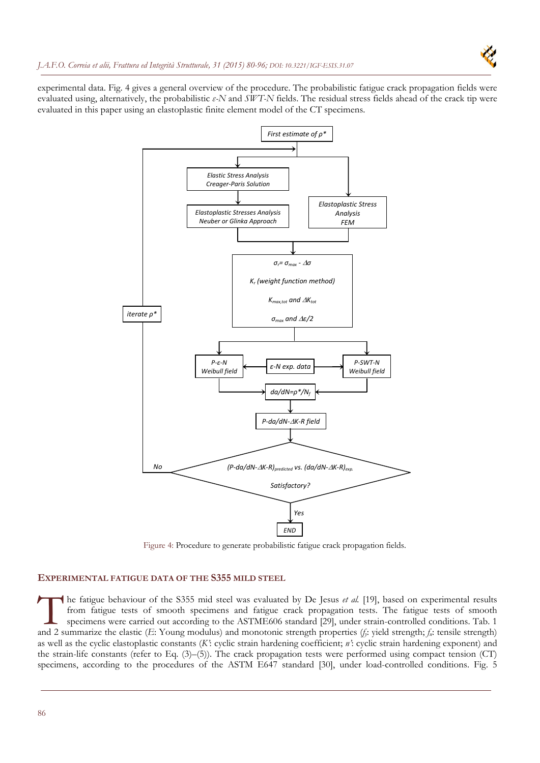

experimental data. Fig. 4 gives a general overview of the procedure. The probabilistic fatigue crack propagation fields were evaluated using, alternatively, the probabilistic *ε-N* and *SWT-N* fields. The residual stress fields ahead of the crack tip were evaluated in this paper using an elastoplastic finite element model of the CT specimens.



Figure 4: Procedure to generate probabilistic fatigue crack propagation fields.

# **EXPERIMENTAL FATIGUE DATA OF THE S355 MILD STEEL**

he fatigue behaviour of the S355 mid steel was evaluated by De Jesus *et al.* [19], based on experimental results from fatigue tests of smooth specimens and fatigue crack propagation tests. The fatigue tests of smooth specimens were carried out according to the ASTME606 standard [29], under strain-controlled conditions. Tab. 1 The fatigue behaviour of the S355 mid steel was evaluated by De Jesus *et al.* [19], based on experimental results from fatigue tests of smooth specimens were carried out according to the ASTME606 standard [29], under stra as well as the cyclic elastoplastic constants (*K'*: cyclic strain hardening coefficient; *n'*: cyclic strain hardening exponent) and the strain-life constants (refer to Eq. (3)–(5)). The crack propagation tests were performed using compact tension (CT) specimens, according to the procedures of the ASTM E647 standard [30], under load-controlled conditions. Fig. 5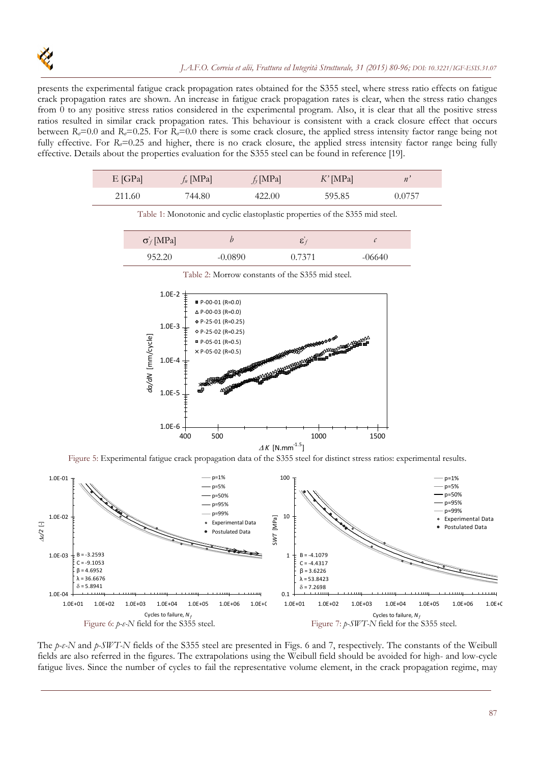presents the experimental fatigue crack propagation rates obtained for the S355 steel, where stress ratio effects on fatigue crack propagation rates are shown. An increase in fatigue crack propagation rates is clear, when the stress ratio changes from 0 to any positive stress ratios considered in the experimental program. Also, it is clear that all the positive stress ratios resulted in similar crack propagation rates. This behaviour is consistent with a crack closure effect that occurs between  $R_{\sigma}$ =0.0 and  $R_{\sigma}$ =0.25. For  $R_{\sigma}$ =0.0 there is some crack closure, the applied stress intensity factor range being not fully effective. For *R<sub>o</sub>*=0.25 and higher, there is no crack closure, the applied stress intensity factor range being fully effective. Details about the properties evaluation for the S355 steel can be found in reference [19].

| $E$ [GPa] | $f_u$ [MPa] | $f_{\nu}$ [MPa] | $K'$ [MPa] |        |
|-----------|-------------|-----------------|------------|--------|
| 211.60    | '44.80      | 422.00          | 595.85     | 0.0757 |

Table 1: Monotonic and cyclic elastoplastic properties of the S355 mid steel.

| $\sigma_f$ [MPa] | V)        | $\cdot$ |          |
|------------------|-----------|---------|----------|
| 952.20           | $-0.0890$ | 0.7371  | $-06640$ |



Table 2: Morrow constants of the S355 mid steel.

Figure 5: Experimental fatigue crack propagation data of the S355 steel for distinct stress ratios: experimental results.



The *p-ε-N* and *p-SWT-N* fields of the S355 steel are presented in Figs. 6 and 7, respectively. The constants of the Weibull fields are also referred in the figures. The extrapolations using the Weibull field should be avoided for high- and low-cycle fatigue lives. Since the number of cycles to fail the representative volume element, in the crack propagation regime, may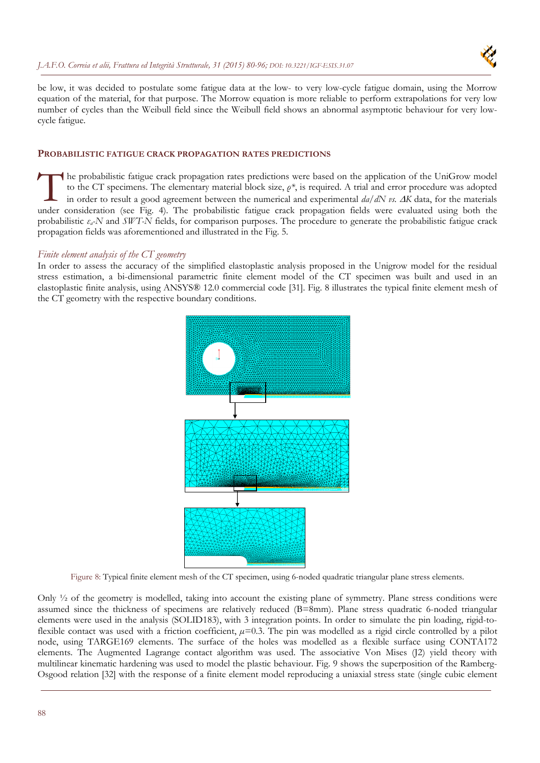

be low, it was decided to postulate some fatigue data at the low- to very low-cycle fatigue domain, using the Morrow equation of the material, for that purpose. The Morrow equation is more reliable to perform extrapolations for very low number of cycles than the Weibull field since the Weibull field shows an abnormal asymptotic behaviour for very lowcycle fatigue.

# **PROBABILISTIC FATIGUE CRACK PROPAGATION RATES PREDICTIONS**

he probabilistic fatigue crack propagation rates predictions were based on the application of the UniGrow model to the CT specimens. The elementary material block size, *ρ\**, is required. A trial and error procedure was adopted in order to result a good agreement between the numerical and experimental  $da/dN$  *vs.*  $\Delta K$  data, for the materials The probabilistic fatigue crack propagation rates predictions were based on the application of the UniGrow model<br>to the CT specimens. The elementary material block size,  $\rho^*$ , is required. A trial and error procedure wa probabilistic *εa-N* and *SWT-N* fields, for comparison purposes. The procedure to generate the probabilistic fatigue crack propagation fields was aforementioned and illustrated in the Fig. 5.

# *Finite element analysis of the CT geometry*

In order to assess the accuracy of the simplified elastoplastic analysis proposed in the Unigrow model for the residual stress estimation, a bi-dimensional parametric finite element model of the CT specimen was built and used in an elastoplastic finite analysis, using ANSYS® 12.0 commercial code [31]. Fig. 8 illustrates the typical finite element mesh of the CT geometry with the respective boundary conditions.



Figure 8: Typical finite element mesh of the CT specimen, using 6-noded quadratic triangular plane stress elements.

Only ½ of the geometry is modelled, taking into account the existing plane of symmetry. Plane stress conditions were assumed since the thickness of specimens are relatively reduced (B=8mm). Plane stress quadratic 6-noded triangular elements were used in the analysis (SOLID183), with 3 integration points. In order to simulate the pin loading, rigid-toflexible contact was used with a friction coefficient,  $\mu$ =0.3. The pin was modelled as a rigid circle controlled by a pilot node, using TARGE169 elements. The surface of the holes was modelled as a flexible surface using CONTA172 elements. The Augmented Lagrange contact algorithm was used. The associative Von Mises (J2) yield theory with multilinear kinematic hardening was used to model the plastic behaviour. Fig. 9 shows the superposition of the Ramberg-Osgood relation [32] with the response of a finite element model reproducing a uniaxial stress state (single cubic element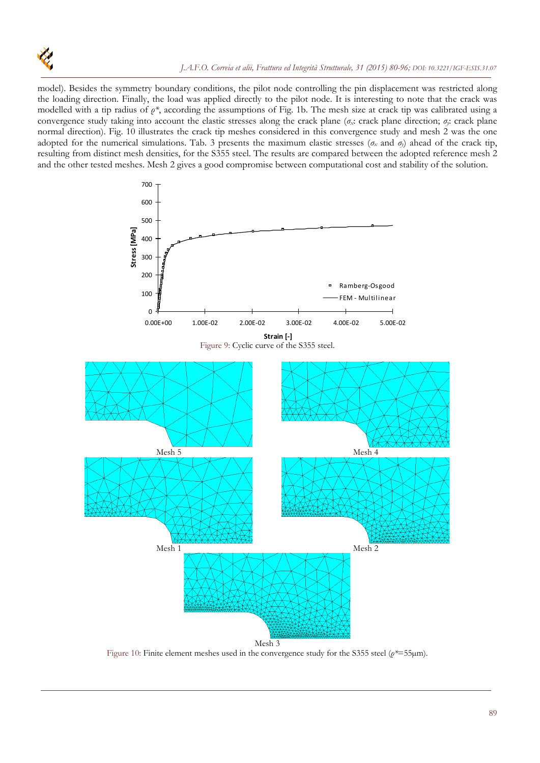

model). Besides the symmetry boundary conditions, the pilot node controlling the pin displacement was restricted along the loading direction. Finally, the load was applied directly to the pilot node. It is interesting to note that the crack was modelled with a tip radius of *ρ\**, according the assumptions of Fig. 1b. The mesh size at crack tip was calibrated using a convergence study taking into account the elastic stresses along the crack plane (*σx*: crack plane direction; *σy*: crack plane normal direction). Fig. 10 illustrates the crack tip meshes considered in this convergence study and mesh 2 was the one adopted for the numerical simulations. Tab. 3 presents the maximum elastic stresses (*σ<sup>x</sup>* and *σy*) ahead of the crack tip, resulting from distinct mesh densities, for the S355 steel. The results are compared between the adopted reference mesh 2 and the other tested meshes. Mesh 2 gives a good compromise between computational cost and stability of the solution.



Figure 10: Finite element meshes used in the convergence study for the S355 steel (*ρ\**=55µm).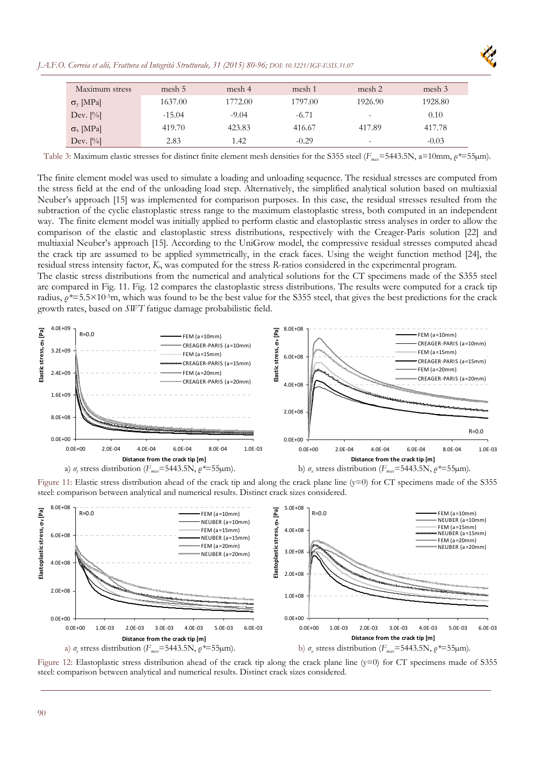*J.A.F.O. Correia et alii, Frattura ed Integrità Strutturale, 31 (2015) 80-96; DOI: 10.3221/IGF-ESIS.31.07* 



| Maximum stress         | mesh 5   | mesh 4  | mesh 1  | mesh 2                   | mesh 3  |
|------------------------|----------|---------|---------|--------------------------|---------|
| $\sigma_{v}$ [MPa]     | 1637.00  | 1772.00 | 1797.00 | 1926.90                  | 1928.80 |
| Dev. $[\%]$            | $-15.04$ | $-9.04$ | $-6.71$ | -                        | 0.10    |
| $\sigma_{\rm x}$ [MPa] | 419.70   | 423.83  | 416.67  | 417.89                   | 417.78  |
| Dev. $[\%]$            | 2.83     | 1.42    | $-0.29$ | $\overline{\phantom{a}}$ | $-0.03$ |

Table 3: Maximum elastic stresses for distinct finite element mesh densities for the S355 steel (*F<sub>max</sub>*=5443.5N, a=10mm, *ρ*<sup>\*</sup>=55μm).

The finite element model was used to simulate a loading and unloading sequence. The residual stresses are computed from the stress field at the end of the unloading load step. Alternatively, the simplified analytical solution based on multiaxial Neuber's approach [15] was implemented for comparison purposes. In this case, the residual stresses resulted from the subtraction of the cyclic elastoplastic stress range to the maximum elastoplastic stress, both computed in an independent way. The finite element model was initially applied to perform elastic and elastoplastic stress analyses in order to allow the comparison of the elastic and elastoplastic stress distributions, respectively with the Creager-Paris solution [22] and multiaxial Neuber's approach [15]. According to the UniGrow model, the compressive residual stresses computed ahead the crack tip are assumed to be applied symmetrically, in the crack faces. Using the weight function method [24], the residual stress intensity factor, *Kr*, was computed for the stress *R*-ratios considered in the experimental program. The elastic stress distributions from the numerical and analytical solutions for the CT specimens made of the S355 steel

are compared in Fig. 11. Fig. 12 compares the elastoplastic stress distributions. The results were computed for a crack tip radius, *ρ\**=5.5×10-5m, which was found to be the best value for the S355 steel, that gives the best predictions for the crack growth rates, based on *SWT* fatigue damage probabilistic field.



Figure 11: Elastic stress distribution ahead of the crack tip and along the crack plane line (y=0) for CT specimens made of the S355 steel: comparison between analytical and numerical results. Distinct crack sizes considered.



Figure 12: Elastoplastic stress distribution ahead of the crack tip along the crack plane line (y=0) for CT specimens made of S355 steel: comparison between analytical and numerical results. Distinct crack sizes considered.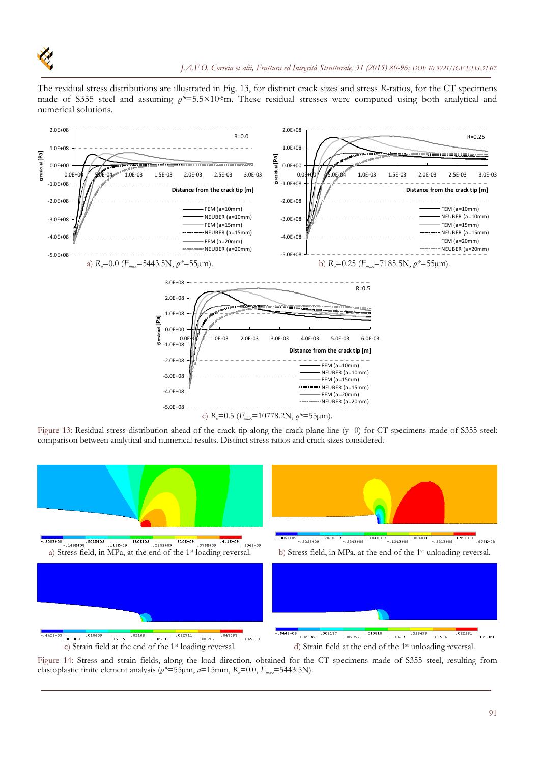

The residual stress distributions are illustrated in Fig. 13, for distinct crack sizes and stress *R*-ratios, for the CT specimens made of S355 steel and assuming *ρ\**=5.5×10-5m. These residual stresses were computed using both analytical and numerical solutions.



Figure 13: Residual stress distribution ahead of the crack tip along the crack plane line (y=0) for CT specimens made of S355 steel: comparison between analytical and numerical results. Distinct stress ratios and crack sizes considered.



Figure 14: Stress and strain fields, along the load direction, obtained for the CT specimens made of S355 steel, resulting from elastoplastic finite element analysis ( $ρ*=55\mu$ m,  $a=15$ mm,  $R<sub>σ</sub>=0.0$ ,  $F<sub>max</sub>=5443.5N$ ).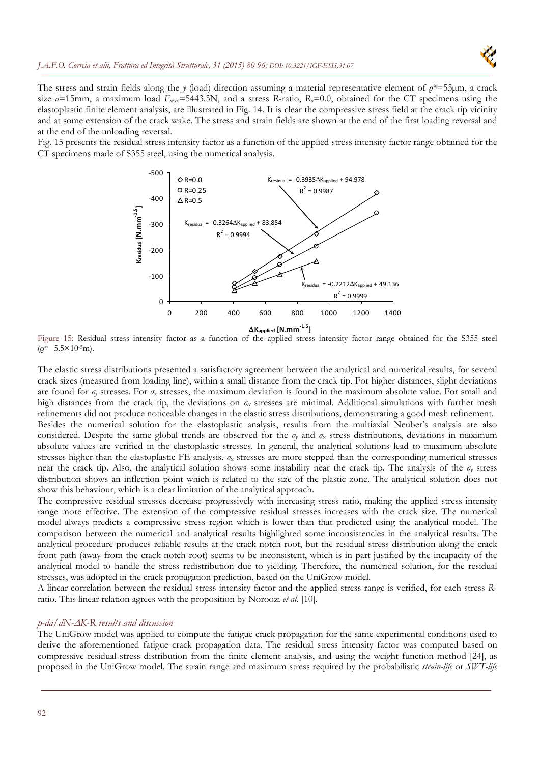The stress and strain fields along the *y* (load) direction assuming a material representative element of *ρ\**=55µm, a crack size  $a=15$ mm, a maximum load  $F_{max}=5443.5$ N, and a stress *R*-ratio,  $R_{\sigma}=0.0$ , obtained for the CT specimens using the elastoplastic finite element analysis, are illustrated in Fig. 14. It is clear the compressive stress field at the crack tip vicinity and at some extension of the crack wake. The stress and strain fields are shown at the end of the first loading reversal and at the end of the unloading reversal.

Fig. 15 presents the residual stress intensity factor as a function of the applied stress intensity factor range obtained for the CT specimens made of S355 steel, using the numerical analysis.



Figure 15: Residual stress intensity factor as a function of the applied stress intensity factor range obtained for the S355 steel  $(\rho^* = 5.5 \times 10^{-5} \text{m}).$ 

The elastic stress distributions presented a satisfactory agreement between the analytical and numerical results, for several crack sizes (measured from loading line), within a small distance from the crack tip. For higher distances, slight deviations are found for  $\sigma_r$  stresses. For  $\sigma_x$  stresses, the maximum deviation is found in the maximum absolute value. For small and high distances from the crack tip, the deviations on *σx* stresses are minimal. Additional simulations with further mesh refinements did not produce noticeable changes in the elastic stress distributions, demonstrating a good mesh refinement. Besides the numerical solution for the elastoplastic analysis, results from the multiaxial Neuber's analysis are also considered. Despite the same global trends are observed for the  $\sigma<sub>y</sub>$  and  $\sigma<sub>x</sub>$  stress distributions, deviations in maximum absolute values are verified in the elastoplastic stresses. In general, the analytical solutions lead to maximum absolute stresses higher than the elastoplastic FE analysis. *σx* stresses are more stepped than the corresponding numerical stresses near the crack tip. Also, the analytical solution shows some instability near the crack tip. The analysis of the *σy* stress distribution shows an inflection point which is related to the size of the plastic zone. The analytical solution does not show this behaviour, which is a clear limitation of the analytical approach.

The compressive residual stresses decrease progressively with increasing stress ratio, making the applied stress intensity range more effective. The extension of the compressive residual stresses increases with the crack size. The numerical model always predicts a compressive stress region which is lower than that predicted using the analytical model. The comparison between the numerical and analytical results highlighted some inconsistencies in the analytical results. The analytical procedure produces reliable results at the crack notch root, but the residual stress distribution along the crack front path (away from the crack notch root) seems to be inconsistent, which is in part justified by the incapacity of the analytical model to handle the stress redistribution due to yielding. Therefore, the numerical solution, for the residual stresses, was adopted in the crack propagation prediction, based on the UniGrow model.

A linear correlation between the residual stress intensity factor and the applied stress range is verified, for each stress *R*ratio. This linear relation agrees with the proposition by Noroozi *et al.* [10].

# *p-da/dN-K-R results and discussion*

The UniGrow model was applied to compute the fatigue crack propagation for the same experimental conditions used to derive the aforementioned fatigue crack propagation data. The residual stress intensity factor was computed based on compressive residual stress distribution from the finite element analysis, and using the weight function method [24], as proposed in the UniGrow model. The strain range and maximum stress required by the probabilistic *strain-life* or *SWT-life*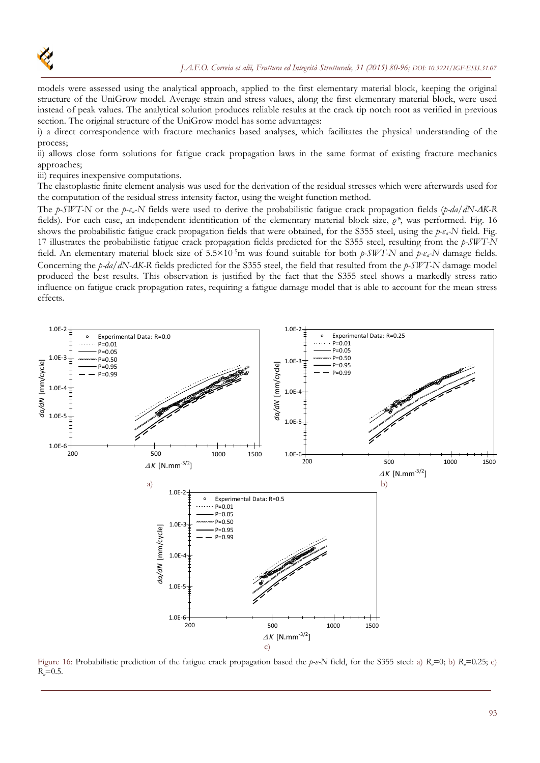

models were assessed using the analytical approach, applied to the first elementary material block, keeping the original structure of the UniGrow model. Average strain and stress values, along the first elementary material block, were used instead of peak values. The analytical solution produces reliable results at the crack tip notch root as verified in previous section. The original structure of the UniGrow model has some advantages:

i) a direct correspondence with fracture mechanics based analyses, which facilitates the physical understanding of the process;

ii) allows close form solutions for fatigue crack propagation laws in the same format of existing fracture mechanics approaches;

iii) requires inexpensive computations.

The elastoplastic finite element analysis was used for the derivation of the residual stresses which were afterwards used for the computation of the residual stress intensity factor, using the weight function method.

The *p-SWT-N* or the *p-εa-N* fields were used to derive the probabilistic fatigue crack propagation fields (*p-da/dN-K-R* fields). For each case, an independent identification of the elementary material block size, *ρ\**, was performed. Fig. 16 shows the probabilistic fatigue crack propagation fields that were obtained, for the S355 steel, using the *p-εa-N* field. Fig. 17 illustrates the probabilistic fatigue crack propagation fields predicted for the S355 steel, resulting from the *p-SWT-N* field. An elementary material block size of 5.5×10<sup>-5</sup>m was found suitable for both  $p\text{-}SWT\text{-}N$  and  $p\text{-}v\text{-}k$  damage fields. Concerning the *p-da/dN-K-R* fields predicted for the S355 steel, the field that resulted from the *p-SWT-N* damage model produced the best results. This observation is justified by the fact that the S355 steel shows a markedly stress ratio influence on fatigue crack propagation rates, requiring a fatigue damage model that is able to account for the mean stress effects.



Figure 16: Probabilistic prediction of the fatigue crack propagation based the *p-ε-N* field, for the S355 steel: a)  $R_a=0$ ; b)  $R_a=0.25$ ; c) *R*<sub> $\sigma$ </sub>=0.5.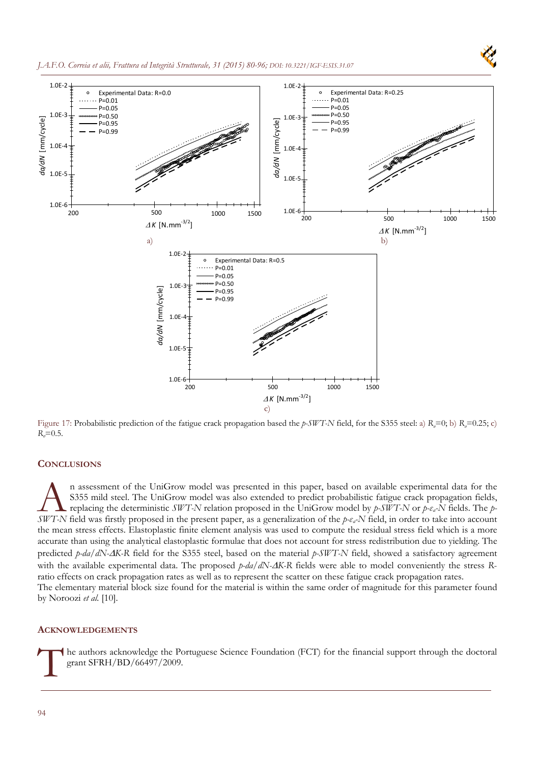

Figure 17: Probabilistic prediction of the fatigue crack propagation based the *p*-*SWT-N* field, for the S355 steel: a) *R<sub><i>σ*</sub>=0; b) *R<sub><i>z*</sub>=0.25; c)  $R_e = 0.5$ .

#### **CONCLUSIONS**

n assessment of the UniGrow model was presented in this paper, based on available experimental data for the S355 mild steel. The UniGrow model was also extended to predict probabilistic fatigue crack propagation fields, replacing the deterministic *SWT-N* relation proposed in the UniGrow model by *p-SWT-N* or *p-εa-N* fields. The *p-***SUPER FIRST ASSES ASSEMENT OF THE UNIGROW MOODED WAS also extended to predict probabilistic fatigue crack propagation fields, replacing the deterministic** *SWT-N* **relation proposed in the UniGrow model by** *p-SWT-N* **or** *p*the mean stress effects. Elastoplastic finite element analysis was used to compute the residual stress field which is a more accurate than using the analytical elastoplastic formulae that does not account for stress redistribution due to yielding. The predicted *p-da/dN-K-R* field for the S355 steel, based on the material *p-SWT-N* field, showed a satisfactory agreement with the available experimental data. The proposed  $p\text{-}da/dN\text{-}AK-R$  fields were able to model conveniently the stress Rratio effects on crack propagation rates as well as to represent the scatter on these fatigue crack propagation rates. The elementary material block size found for the material is within the same order of magnitude for this parameter found by Noroozi *et al.* [10].

# **ACKNOWLEDGEMENTS**

he authors acknowledge the Portuguese Science Foundation (FCT) for the financial support through the doctoral grant SFRH/BD/66497/2009.  $\int_{-\infty}^{\infty}$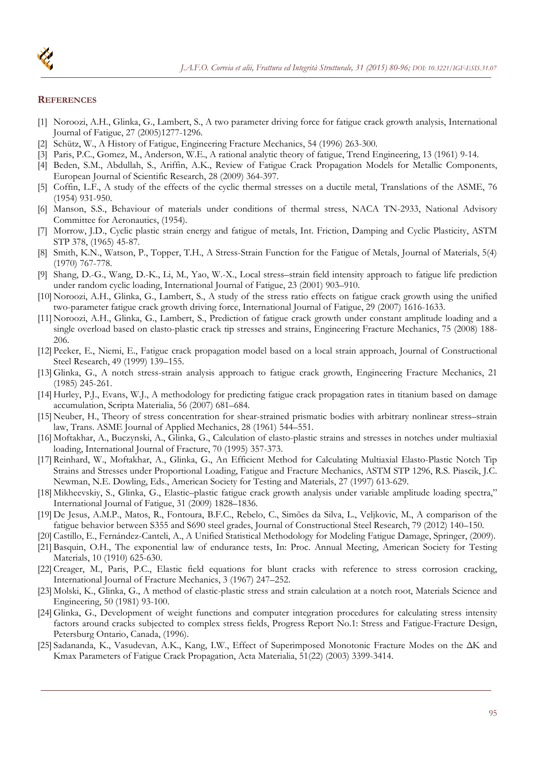

#### **REFERENCES**

- [1] Noroozi, A.H., Glinka, G., Lambert, S., A two parameter driving force for fatigue crack growth analysis, International Journal of Fatigue, 27 (2005)1277-1296.
- [2] Schütz, W., A History of Fatigue, Engineering Fracture Mechanics, 54 (1996) 263-300.
- [3] Paris, P.C., Gomez, M., Anderson, W.E., A rational analytic theory of fatigue, Trend Engineering, 13 (1961) 9-14.
- [4] Beden, S.M., Abdullah, S., Ariffin, A.K., Review of Fatigue Crack Propagation Models for Metallic Components, European Journal of Scientific Research, 28 (2009) 364-397.
- [5] Coffin, L.F., A study of the effects of the cyclic thermal stresses on a ductile metal, Translations of the ASME, 76 (1954) 931-950.
- [6] Manson, S.S., Behaviour of materials under conditions of thermal stress, NACA TN-2933, National Advisory Committee for Aeronautics, (1954).
- [7] Morrow, J.D., Cyclic plastic strain energy and fatigue of metals, Int. Friction, Damping and Cyclic Plasticity, ASTM STP 378, (1965) 45-87.
- [8] Smith, K.N., Watson, P., Topper, T.H., A Stress-Strain Function for the Fatigue of Metals, Journal of Materials, 5(4) (1970) 767-778.
- [9] Shang, D.-G., Wang, D.-K., Li, M., Yao, W.-X., Local stress–strain field intensity approach to fatigue life prediction under random cyclic loading, International Journal of Fatigue, 23 (2001) 903–910.
- [10] Noroozi, A.H., Glinka, G., Lambert, S., A study of the stress ratio effects on fatigue crack growth using the unified two-parameter fatigue crack growth driving force, International Journal of Fatigue, 29 (2007) 1616-1633.
- [11] Noroozi, A.H., Glinka, G., Lambert, S., Prediction of fatigue crack growth under constant amplitude loading and a single overload based on elasto-plastic crack tip stresses and strains, Engineering Fracture Mechanics, 75 (2008) 188- 206.
- [12] Peeker, E., Niemi, E., Fatigue crack propagation model based on a local strain approach, Journal of Constructional Steel Research, 49 (1999) 139–155.
- [13] Glinka, G., A notch stress-strain analysis approach to fatigue crack growth, Engineering Fracture Mechanics, 21 (1985) 245-261.
- [14] Hurley, P.J., Evans, W.J., A methodology for predicting fatigue crack propagation rates in titanium based on damage accumulation, Scripta Materialia, 56 (2007) 681–684.
- [15] Neuber, H., Theory of stress concentration for shear-strained prismatic bodies with arbitrary nonlinear stress–strain law, Trans. ASME Journal of Applied Mechanics, 28 (1961) 544–551.
- [16] Moftakhar, A., Buczynski, A., Glinka, G., Calculation of elasto-plastic strains and stresses in notches under multiaxial loading, International Journal of Fracture, 70 (1995) 357-373.
- [17] Reinhard, W., Moftakhar, A., Glinka, G., An Efficient Method for Calculating Multiaxial Elasto-Plastic Notch Tip Strains and Stresses under Proportional Loading, Fatigue and Fracture Mechanics, ASTM STP 1296, R.S. Piascik, J.C. Newman, N.E. Dowling, Eds., American Society for Testing and Materials, 27 (1997) 613-629.
- [18] Mikheevskiy, S., Glinka, G., Elastic–plastic fatigue crack growth analysis under variable amplitude loading spectra," International Journal of Fatigue, 31 (2009) 1828–1836.
- [19] De Jesus, A.M.P., Matos, R., Fontoura, B.F.C., Rebelo, C., Simões da Silva, L., Veljkovic, M., A comparison of the fatigue behavior between S355 and S690 steel grades, Journal of Constructional Steel Research, 79 (2012) 140–150.
- [20] Castillo, E., Fernández-Canteli, A., A Unified Statistical Methodology for Modeling Fatigue Damage, Springer, (2009).
- [21] Basquin, O.H., The exponential law of endurance tests, In: Proc. Annual Meeting, American Society for Testing Materials, 10 (1910) 625-630.
- [22] Creager, M., Paris, P.C., Elastic field equations for blunt cracks with reference to stress corrosion cracking, International Journal of Fracture Mechanics, 3 (1967) 247–252.
- [23] Molski, K., Glinka, G., A method of elastic-plastic stress and strain calculation at a notch root, Materials Science and Engineering, 50 (1981) 93-100.
- [24] Glinka, G., Development of weight functions and computer integration procedures for calculating stress intensity factors around cracks subjected to complex stress fields, Progress Report No.1: Stress and Fatigue-Fracture Design, Petersburg Ontario, Canada, (1996).
- [25] Sadananda, K., Vasudevan, A.K., Kang, I.W., Effect of Superimposed Monotonic Fracture Modes on the ΔK and Kmax Parameters of Fatigue Crack Propagation, Acta Materialia, 51(22) (2003) 3399-3414.